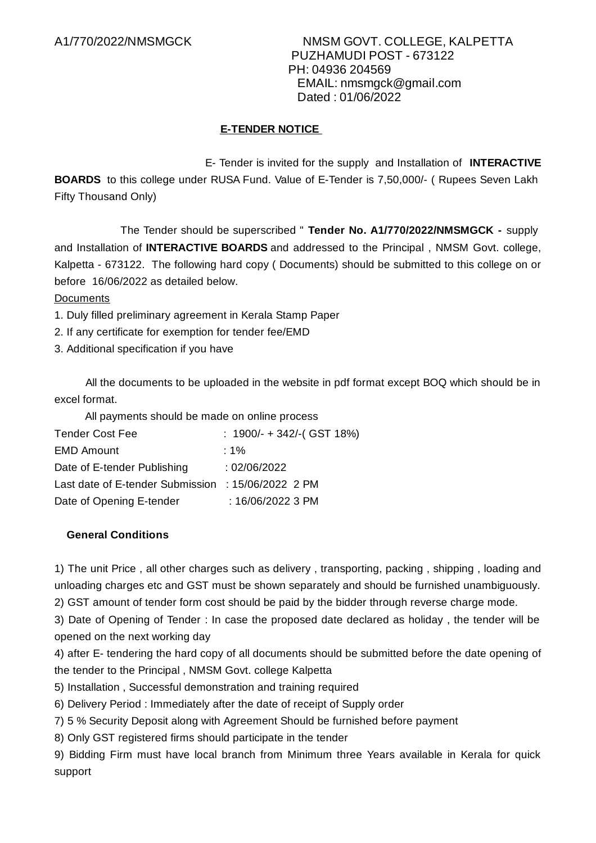## **E-TENDER NOTICE**

E- Tender is invited for the supply and Installation of **INTERACTIVE BOARDS** to this college under RUSA Fund. Value of E-Tender is 7,50,000/- ( Rupees Seven Lakh Fifty Thousand Only)

The Tender should be superscribed " **Tender No. A1/770/2022/NMSMGCK -** supply and Installation of **INTERACTIVE BOARDS** and addressed to the Principal , NMSM Govt. college, Kalpetta - 673122. The following hard copy ( Documents) should be submitted to this college on or before 16/06/2022 as detailed below.

**Documents** 

- 1. Duly filled preliminary agreement in Kerala Stamp Paper
- 2. If any certificate for exemption for tender fee/EMD
- 3. Additional specification if you have

All the documents to be uploaded in the website in pdf format except BOQ which should be in excel format.

All payments should be made on online process

| <b>Tender Cost Fee</b>                             | : $1900/- + 342/-$ (GST 18%) |
|----------------------------------------------------|------------------------------|
| <b>EMD Amount</b>                                  | : 1%                         |
| Date of E-tender Publishing                        | : 02/06/2022                 |
| Last date of E-tender Submission : 15/06/2022 2 PM |                              |
| Date of Opening E-tender                           | : 16/06/2022 3 PM            |

### **General Conditions**

1) The unit Price , all other charges such as delivery , transporting, packing , shipping , loading and unloading charges etc and GST must be shown separately and should be furnished unambiguously.

2) GST amount of tender form cost should be paid by the bidder through reverse charge mode.

3) Date of Opening of Tender : In case the proposed date declared as holiday , the tender will be opened on the next working day

4) after E- tendering the hard copy of all documents should be submitted before the date opening of the tender to the Principal , NMSM Govt. college Kalpetta

5) Installation , Successful demonstration and training required

6) Delivery Period : Immediately after the date of receipt of Supply order

7) 5 % Security Deposit along with Agreement Should be furnished before payment

8) Only GST registered firms should participate in the tender

9) Bidding Firm must have local branch from Minimum three Years available in Kerala for quick support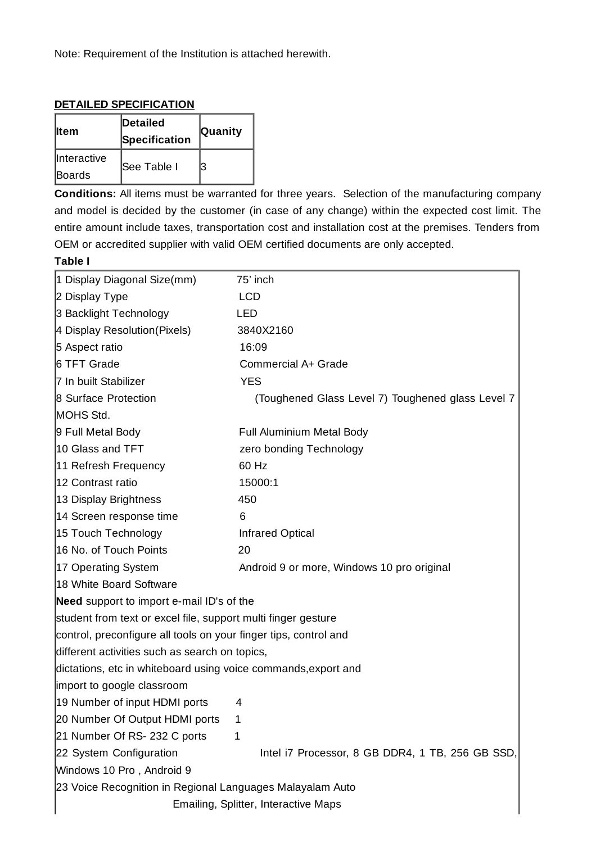Note: Requirement of the Institution is attached herewith.

#### **DETAILED SPECIFICATION**

| ⊪tem                         | Detailed<br>Specification | <b>Quanity</b> |
|------------------------------|---------------------------|----------------|
| <b>Interactive</b><br>Boards | <b>See Table I</b>        | З              |

**Conditions:** All items must be warranted for three years. Selection of the manufacturing company and model is decided by the customer (in case of any change) within the expected cost limit. The entire amount include taxes, transportation cost and installation cost at the premises. Tenders from OEM or accredited supplier with valid OEM certified documents are only accepted.

## **Table I**

| 1 Display Diagonal Size(mm)                                      | 75' inch                                          |  |
|------------------------------------------------------------------|---------------------------------------------------|--|
| 2 Display Type                                                   | <b>LCD</b>                                        |  |
| 3 Backlight Technology                                           | <b>LED</b>                                        |  |
| 4 Display Resolution (Pixels)                                    | 3840X2160                                         |  |
| 5 Aspect ratio                                                   | 16:09                                             |  |
| 6 TFT Grade                                                      | Commercial A+ Grade                               |  |
| 7 In built Stabilizer                                            | <b>YES</b>                                        |  |
| <b>8 Surface Protection</b>                                      | (Toughened Glass Level 7) Toughened glass Level 7 |  |
| MOHS Std.                                                        |                                                   |  |
| 9 Full Metal Body                                                | Full Aluminium Metal Body                         |  |
| 10 Glass and TFT                                                 | zero bonding Technology                           |  |
| 11 Refresh Frequency                                             | 60 Hz                                             |  |
| 12 Contrast ratio                                                | 15000:1                                           |  |
| 13 Display Brightness                                            | 450                                               |  |
| 14 Screen response time                                          | 6                                                 |  |
| 15 Touch Technology                                              | <b>Infrared Optical</b>                           |  |
| 16 No. of Touch Points                                           | 20                                                |  |
| 17 Operating System                                              | Android 9 or more, Windows 10 pro original        |  |
| 18 White Board Software                                          |                                                   |  |
| Need support to import e-mail ID's of the                        |                                                   |  |
| student from text or excel file, support multi finger gesture    |                                                   |  |
| control, preconfigure all tools on your finger tips, control and |                                                   |  |
| different activities such as search on topics,                   |                                                   |  |
| dictations, etc in whiteboard using voice commands, export and   |                                                   |  |
| import to google classroom                                       |                                                   |  |
| 19 Number of input HDMI ports                                    | 4                                                 |  |
| 20 Number Of Output HDMI ports                                   | $\mathbf 1$                                       |  |
| 21 Number Of RS-232 C ports                                      | 1                                                 |  |
| 22 System Configuration                                          | Intel i7 Processor, 8 GB DDR4, 1 TB, 256 GB SSD,  |  |
| Windows 10 Pro, Android 9                                        |                                                   |  |
| 23 Voice Recognition in Regional Languages Malayalam Auto        |                                                   |  |
| Emailing, Splitter, Interactive Maps                             |                                                   |  |